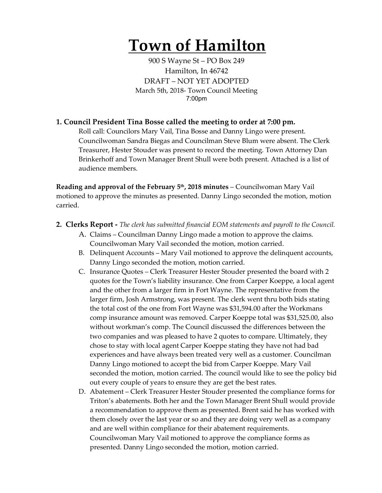# **Town of Hamilton**

900 S Wayne St – PO Box 249 Hamilton, In 46742 DRAFT – NOT YET ADOPTED March 5th, 2018- Town Council Meeting 7:00pm

## **1. Council President Tina Bosse called the meeting to order at 7:00 pm.**

Roll call: Councilors Mary Vail, Tina Bosse and Danny Lingo were present. Councilwoman Sandra Biegas and Councilman Steve Blum were absent. The Clerk Treasurer, Hester Stouder was present to record the meeting. Town Attorney Dan Brinkerhoff and Town Manager Brent Shull were both present. Attached is a list of audience members.

**Reading and approval of the February 5th, 2018 minutes** – Councilwoman Mary Vail motioned to approve the minutes as presented. Danny Lingo seconded the motion, motion carried.

- **2. Clerks Report -** *The clerk has submitted financial EOM statements and payroll to the Council.* 
	- A. Claims Councilman Danny Lingo made a motion to approve the claims. Councilwoman Mary Vail seconded the motion, motion carried.
	- B. Delinquent Accounts Mary Vail motioned to approve the delinquent accounts, Danny Lingo seconded the motion, motion carried.
	- C. Insurance Quotes Clerk Treasurer Hester Stouder presented the board with 2 quotes for the Town's liability insurance. One from Carper Koeppe, a local agent and the other from a larger firm in Fort Wayne. The representative from the larger firm, Josh Armstrong, was present. The clerk went thru both bids stating the total cost of the one from Fort Wayne was \$31,594.00 after the Workmans comp insurance amount was removed. Carper Koeppe total was \$31,525.00, also without workman's comp. The Council discussed the differences between the two companies and was pleased to have 2 quotes to compare. Ultimately, they chose to stay with local agent Carper Koeppe stating they have not had bad experiences and have always been treated very well as a customer. Councilman Danny Lingo motioned to accept the bid from Carper Koeppe. Mary Vail seconded the motion, motion carried. The council would like to see the policy bid out every couple of years to ensure they are get the best rates.
	- D. Abatement Clerk Treasurer Hester Stouder presented the compliance forms for Triton's abatements. Both her and the Town Manager Brent Shull would provide a recommendation to approve them as presented. Brent said he has worked with them closely over the last year or so and they are doing very well as a company and are well within compliance for their abatement requirements. Councilwoman Mary Vail motioned to approve the compliance forms as presented. Danny Lingo seconded the motion, motion carried.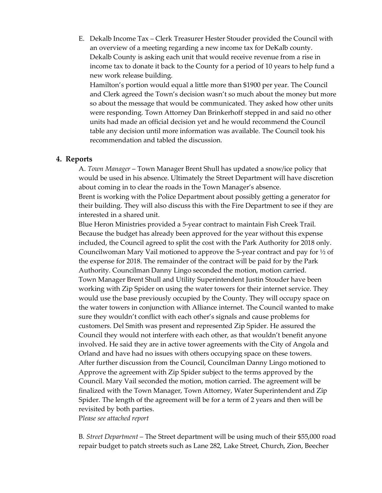E. Dekalb Income Tax – Clerk Treasurer Hester Stouder provided the Council with an overview of a meeting regarding a new income tax for DeKalb county. Dekalb County is asking each unit that would receive revenue from a rise in income tax to donate it back to the County for a period of 10 years to help fund a new work release building.

Hamilton's portion would equal a little more than \$1900 per year. The Council and Clerk agreed the Town's decision wasn't so much about the money but more so about the message that would be communicated. They asked how other units were responding. Town Attorney Dan Brinkerhoff stepped in and said no other units had made an official decision yet and he would recommend the Council table any decision until more information was available. The Council took his recommendation and tabled the discussion.

#### **4. Reports**

A. *Town Manager* – Town Manager Brent Shull has updated a snow/ice policy that would be used in his absence. Ultimately the Street Department will have discretion about coming in to clear the roads in the Town Manager's absence. Brent is working with the Police Department about possibly getting a generator for

their building. They will also discuss this with the Fire Department to see if they are interested in a shared unit.

Blue Heron Ministries provided a 5-year contract to maintain Fish Creek Trail. Because the budget has already been approved for the year without this expense included, the Council agreed to split the cost with the Park Authority for 2018 only. Councilwoman Mary Vail motioned to approve the 5-year contract and pay for  $\frac{1}{2}$  of the expense for 2018. The remainder of the contract will be paid for by the Park Authority. Councilman Danny Lingo seconded the motion, motion carried. Town Manager Brent Shull and Utility Superintendent Justin Stouder have been working with Zip Spider on using the water towers for their internet service. They would use the base previously occupied by the County. They will occupy space on the water towers in conjunction with Alliance internet. The Council wanted to make sure they wouldn't conflict with each other's signals and cause problems for customers. Del Smith was present and represented Zip Spider. He assured the Council they would not interfere with each other, as that wouldn't benefit anyone involved. He said they are in active tower agreements with the City of Angola and Orland and have had no issues with others occupying space on these towers. After further discussion from the Council, Councilman Danny Lingo motioned to Approve the agreement with Zip Spider subject to the terms approved by the Council. Mary Vail seconded the motion, motion carried. The agreement will be finalized with the Town Manager, Town Attorney, Water Superintendent and Zip Spider. The length of the agreement will be for a term of 2 years and then will be revisited by both parties.

P*lease see attached report*

B*. Street Department* – The Street department will be using much of their \$55,000 road repair budget to patch streets such as Lane 282, Lake Street, Church, Zion, Beecher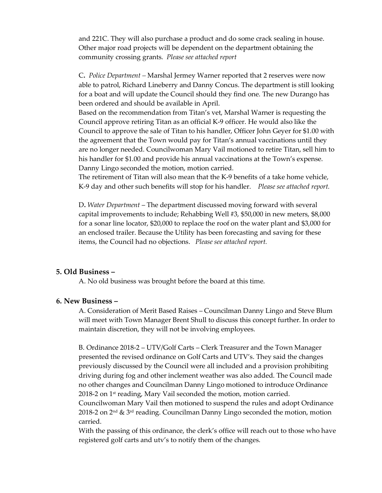and 221C. They will also purchase a product and do some crack sealing in house. Other major road projects will be dependent on the department obtaining the community crossing grants. *Please see attached report*

C**.** *Police Department –* Marshal Jermey Warner reported that 2 reserves were now able to patrol, Richard Lineberry and Danny Concus. The department is still looking for a boat and will update the Council should they find one. The new Durango has been ordered and should be available in April.

Based on the recommendation from Titan's vet, Marshal Warner is requesting the Council approve retiring Titan as an official K-9 officer. He would also like the Council to approve the sale of Titan to his handler, Officer John Geyer for \$1.00 with the agreement that the Town would pay for Titan's annual vaccinations until they are no longer needed. Councilwoman Mary Vail motioned to retire Titan, sell him to his handler for \$1.00 and provide his annual vaccinations at the Town's expense. Danny Lingo seconded the motion, motion carried.

The retirement of Titan will also mean that the K-9 benefits of a take home vehicle, K-9 day and other such benefits will stop for his handler. *Please see attached report.*

D**.** *Water Department* – The department discussed moving forward with several capital improvements to include; Rehabbing Well #3, \$50,000 in new meters, \$8,000 for a sonar line locator, \$20,000 to replace the roof on the water plant and \$3,000 for an enclosed trailer. Because the Utility has been forecasting and saving for these items, the Council had no objections. *Please see attached report.* 

## **5. Old Business –**

A. No old business was brought before the board at this time.

#### **6. New Business –**

A. Consideration of Merit Based Raises – Councilman Danny Lingo and Steve Blum will meet with Town Manager Brent Shull to discuss this concept further. In order to maintain discretion, they will not be involving employees.

B. Ordinance 2018-2 – UTV/Golf Carts – Clerk Treasurer and the Town Manager presented the revised ordinance on Golf Carts and UTV's. They said the changes previously discussed by the Council were all included and a provision prohibiting driving during fog and other inclement weather was also added. The Council made no other changes and Councilman Danny Lingo motioned to introduce Ordinance 2018-2 on 1<sup>st</sup> reading, Mary Vail seconded the motion, motion carried.

Councilwoman Mary Vail then motioned to suspend the rules and adopt Ordinance 2018-2 on  $2<sup>nd</sup>$  &  $3<sup>rd</sup>$  reading. Councilman Danny Lingo seconded the motion, motion carried.

With the passing of this ordinance, the clerk's office will reach out to those who have registered golf carts and utv's to notify them of the changes.